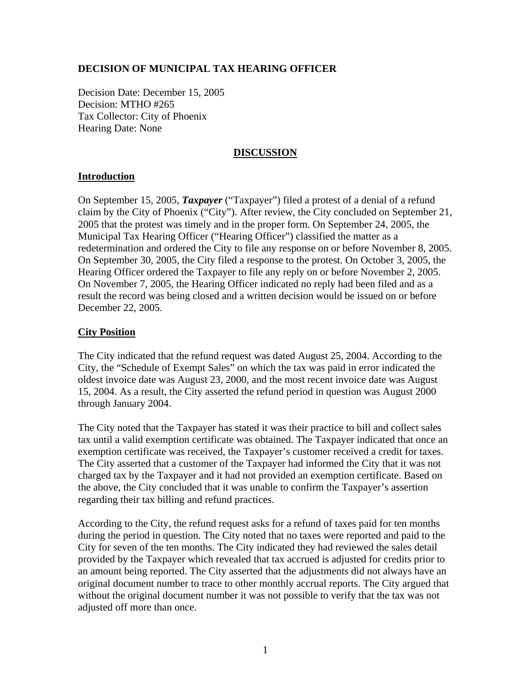# **DECISION OF MUNICIPAL TAX HEARING OFFICER**

Decision Date: December 15, 2005 Decision: MTHO #265 Tax Collector: City of Phoenix Hearing Date: None

### **DISCUSSION**

### **Introduction**

On September 15, 2005, *Taxpayer* ("Taxpayer") filed a protest of a denial of a refund claim by the City of Phoenix ("City"). After review, the City concluded on September 21, 2005 that the protest was timely and in the proper form. On September 24, 2005, the Municipal Tax Hearing Officer ("Hearing Officer") classified the matter as a redetermination and ordered the City to file any response on or before November 8, 2005. On September 30, 2005, the City filed a response to the protest. On October 3, 2005, the Hearing Officer ordered the Taxpayer to file any reply on or before November 2, 2005. On November 7, 2005, the Hearing Officer indicated no reply had been filed and as a result the record was being closed and a written decision would be issued on or before December 22, 2005.

## **City Position**

The City indicated that the refund request was dated August 25, 2004. According to the City, the "Schedule of Exempt Sales" on which the tax was paid in error indicated the oldest invoice date was August 23, 2000, and the most recent invoice date was August 15, 2004. As a result, the City asserted the refund period in question was August 2000 through January 2004.

The City noted that the Taxpayer has stated it was their practice to bill and collect sales tax until a valid exemption certificate was obtained. The Taxpayer indicated that once an exemption certificate was received, the Taxpayer's customer received a credit for taxes. The City asserted that a customer of the Taxpayer had informed the City that it was not charged tax by the Taxpayer and it had not provided an exemption certificate. Based on the above, the City concluded that it was unable to confirm the Taxpayer's assertion regarding their tax billing and refund practices.

According to the City, the refund request asks for a refund of taxes paid for ten months during the period in question. The City noted that no taxes were reported and paid to the City for seven of the ten months. The City indicated they had reviewed the sales detail provided by the Taxpayer which revealed that tax accrued is adjusted for credits prior to an amount being reported. The City asserted that the adjustments did not always have an original document number to trace to other monthly accrual reports. The City argued that without the original document number it was not possible to verify that the tax was not adjusted off more than once.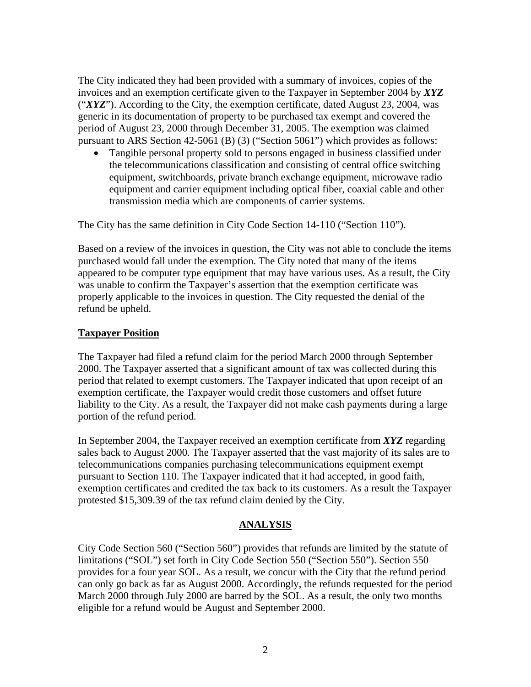The City indicated they had been provided with a summary of invoices, copies of the invoices and an exemption certificate given to the Taxpayer in September 2004 by *XYZ* ("*XYZ*"). According to the City, the exemption certificate, dated August 23, 2004, was generic in its documentation of property to be purchased tax exempt and covered the period of August 23, 2000 through December 31, 2005. The exemption was claimed pursuant to ARS Section 42-5061 (B) (3) ("Section 5061") which provides as follows:

• Tangible personal property sold to persons engaged in business classified under the telecommunications classification and consisting of central office switching equipment, switchboards, private branch exchange equipment, microwave radio equipment and carrier equipment including optical fiber, coaxial cable and other transmission media which are components of carrier systems.

The City has the same definition in City Code Section 14-110 ("Section 110").

Based on a review of the invoices in question, the City was not able to conclude the items purchased would fall under the exemption. The City noted that many of the items appeared to be computer type equipment that may have various uses. As a result, the City was unable to confirm the Taxpayer's assertion that the exemption certificate was properly applicable to the invoices in question. The City requested the denial of the refund be upheld.

### **Taxpayer Position**

The Taxpayer had filed a refund claim for the period March 2000 through September 2000. The Taxpayer asserted that a significant amount of tax was collected during this period that related to exempt customers. The Taxpayer indicated that upon receipt of an exemption certificate, the Taxpayer would credit those customers and offset future liability to the City. As a result, the Taxpayer did not make cash payments during a large portion of the refund period.

In September 2004, the Taxpayer received an exemption certificate from *XYZ* regarding sales back to August 2000. The Taxpayer asserted that the vast majority of its sales are to telecommunications companies purchasing telecommunications equipment exempt pursuant to Section 110. The Taxpayer indicated that it had accepted, in good faith, exemption certificates and credited the tax back to its customers. As a result the Taxpayer protested \$15,309.39 of the tax refund claim denied by the City.

# **ANALYSIS**

City Code Section 560 ("Section 560") provides that refunds are limited by the statute of limitations ("SOL") set forth in City Code Section 550 ("Section 550"). Section 550 provides for a four year SOL. As a result, we concur with the City that the refund period can only go back as far as August 2000. Accordingly, the refunds requested for the period March 2000 through July 2000 are barred by the SOL. As a result, the only two months eligible for a refund would be August and September 2000.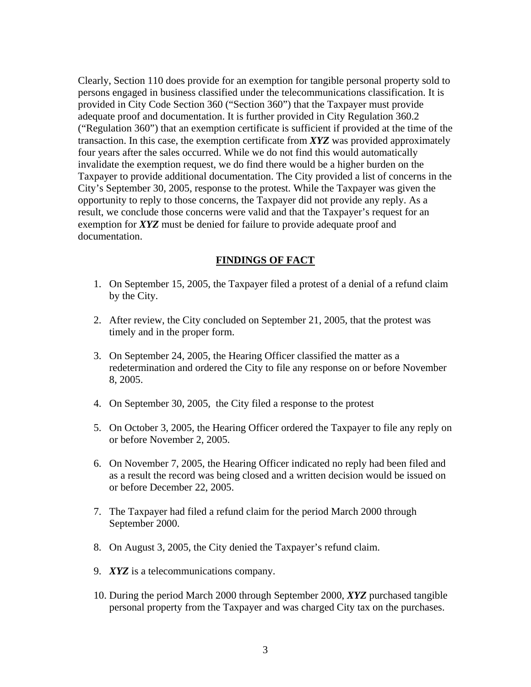Clearly, Section 110 does provide for an exemption for tangible personal property sold to persons engaged in business classified under the telecommunications classification. It is provided in City Code Section 360 ("Section 360") that the Taxpayer must provide adequate proof and documentation. It is further provided in City Regulation 360.2 ("Regulation 360") that an exemption certificate is sufficient if provided at the time of the transaction. In this case, the exemption certificate from *XYZ* was provided approximately four years after the sales occurred. While we do not find this would automatically invalidate the exemption request, we do find there would be a higher burden on the Taxpayer to provide additional documentation. The City provided a list of concerns in the City's September 30, 2005, response to the protest. While the Taxpayer was given the opportunity to reply to those concerns, the Taxpayer did not provide any reply. As a result, we conclude those concerns were valid and that the Taxpayer's request for an exemption for *XYZ* must be denied for failure to provide adequate proof and documentation.

## **FINDINGS OF FACT**

- 1. On September 15, 2005, the Taxpayer filed a protest of a denial of a refund claim by the City.
- 2. After review, the City concluded on September 21, 2005, that the protest was timely and in the proper form.
- 3. On September 24, 2005, the Hearing Officer classified the matter as a redetermination and ordered the City to file any response on or before November 8, 2005.
- 4. On September 30, 2005, the City filed a response to the protest
- 5. On October 3, 2005, the Hearing Officer ordered the Taxpayer to file any reply on or before November 2, 2005.
- 6. On November 7, 2005, the Hearing Officer indicated no reply had been filed and as a result the record was being closed and a written decision would be issued on or before December 22, 2005.
- 7. The Taxpayer had filed a refund claim for the period March 2000 through September 2000.
- 8. On August 3, 2005, the City denied the Taxpayer's refund claim.
- 9. *XYZ* is a telecommunications company.
- 10. During the period March 2000 through September 2000, *XYZ* purchased tangible personal property from the Taxpayer and was charged City tax on the purchases.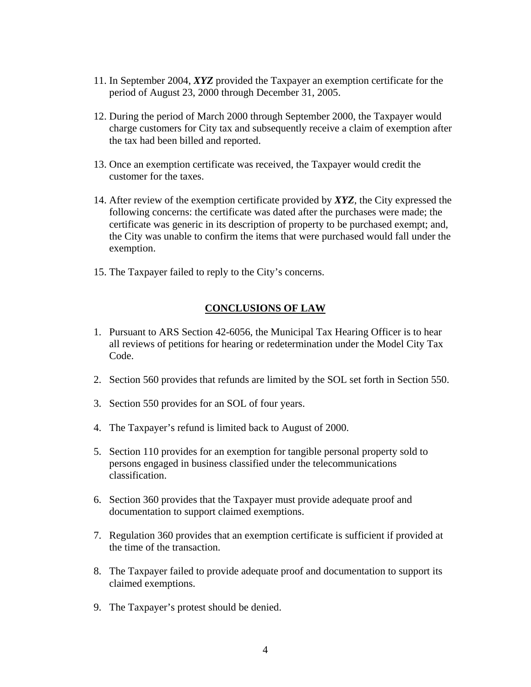- 11. In September 2004, *XYZ* provided the Taxpayer an exemption certificate for the period of August 23, 2000 through December 31, 2005.
- 12. During the period of March 2000 through September 2000, the Taxpayer would charge customers for City tax and subsequently receive a claim of exemption after the tax had been billed and reported.
- 13. Once an exemption certificate was received, the Taxpayer would credit the customer for the taxes.
- 14. After review of the exemption certificate provided by *XYZ*, the City expressed the following concerns: the certificate was dated after the purchases were made; the certificate was generic in its description of property to be purchased exempt; and, the City was unable to confirm the items that were purchased would fall under the exemption.
- 15. The Taxpayer failed to reply to the City's concerns.

### **CONCLUSIONS OF LAW**

- 1. Pursuant to ARS Section 42-6056, the Municipal Tax Hearing Officer is to hear all reviews of petitions for hearing or redetermination under the Model City Tax Code.
- 2. Section 560 provides that refunds are limited by the SOL set forth in Section 550.
- 3. Section 550 provides for an SOL of four years.
- 4. The Taxpayer's refund is limited back to August of 2000.
- 5. Section 110 provides for an exemption for tangible personal property sold to persons engaged in business classified under the telecommunications classification.
- 6. Section 360 provides that the Taxpayer must provide adequate proof and documentation to support claimed exemptions.
- 7. Regulation 360 provides that an exemption certificate is sufficient if provided at the time of the transaction.
- 8. The Taxpayer failed to provide adequate proof and documentation to support its claimed exemptions.
- 9. The Taxpayer's protest should be denied.